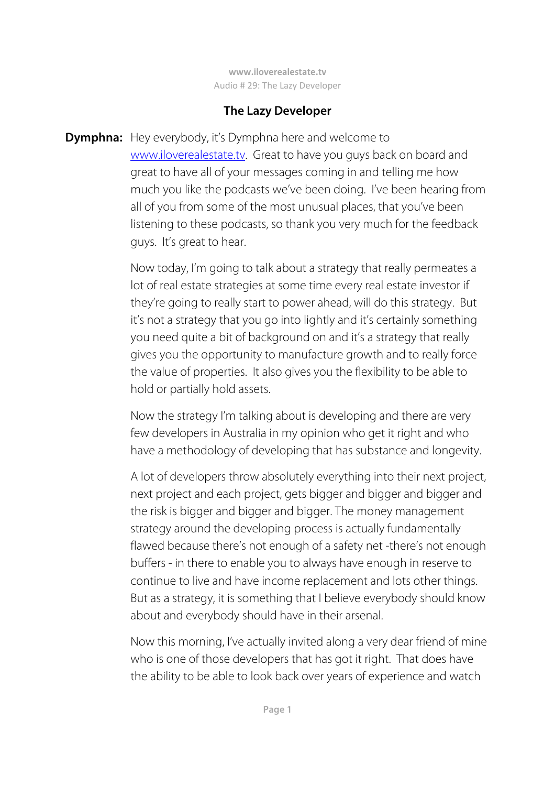## **The Lazy Developer**

**Dymphna:** Hey everybody, it's Dymphna here and welcome to www.iloverealestate.tv. Great to have you guys back on board and great to have all of your messages coming in and telling me how much you like the podcasts we've been doing. I've been hearing from all of you from some of the most unusual places, that you've been listening to these podcasts, so thank you very much for the feedback guys. It's great to hear.

> Now today, I'm going to talk about a strategy that really permeates a lot of real estate strategies at some time every real estate investor if they're going to really start to power ahead, will do this strategy. But it's not a strategy that you go into lightly and it's certainly something you need quite a bit of background on and it's a strategy that really gives you the opportunity to manufacture growth and to really force the value of properties. It also gives you the flexibility to be able to hold or partially hold assets.

 Now the strategy I'm talking about is developing and there are very few developers in Australia in my opinion who get it right and who have a methodology of developing that has substance and longevity.

 A lot of developers throw absolutely everything into their next project, next project and each project, gets bigger and bigger and bigger and the risk is bigger and bigger and bigger. The money management strategy around the developing process is actually fundamentally flawed because there's not enough of a safety net -there's not enough buffers - in there to enable you to always have enough in reserve to continue to live and have income replacement and lots other things. But as a strategy, it is something that I believe everybody should know about and everybody should have in their arsenal.

 Now this morning, I've actually invited along a very dear friend of mine who is one of those developers that has got it right. That does have the ability to be able to look back over years of experience and watch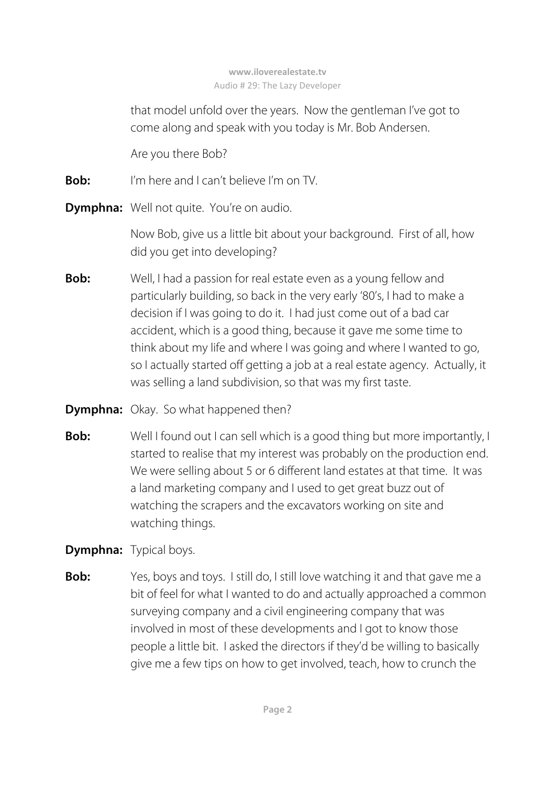that model unfold over the years. Now the gentleman I've got to come along and speak with you today is Mr. Bob Andersen.

Are you there Bob?

**Bob:** I'm here and I can't believe I'm on TV.

**Dymphna:** Well not quite. You're on audio.

 Now Bob, give us a little bit about your background. First of all, how did you get into developing?

- **Bob:** Well, I had a passion for real estate even as a young fellow and particularly building, so back in the very early '80's, I had to make a decision if I was going to do it. I had just come out of a bad car accident, which is a good thing, because it gave me some time to think about my life and where I was going and where I wanted to go, so I actually started off getting a job at a real estate agency. Actually, it was selling a land subdivision, so that was my first taste.
- **Dymphna:** Okay. So what happened then?
- **Bob:** Well I found out I can sell which is a good thing but more importantly, I started to realise that my interest was probably on the production end. We were selling about 5 or 6 different land estates at that time. It was a land marketing company and I used to get great buzz out of watching the scrapers and the excavators working on site and watching things.
- **Dymphna:** Typical boys.
- **Bob:** Yes, boys and toys. I still do, I still love watching it and that gave me a bit of feel for what I wanted to do and actually approached a common surveying company and a civil engineering company that was involved in most of these developments and I got to know those people a little bit. I asked the directors if they'd be willing to basically give me a few tips on how to get involved, teach, how to crunch the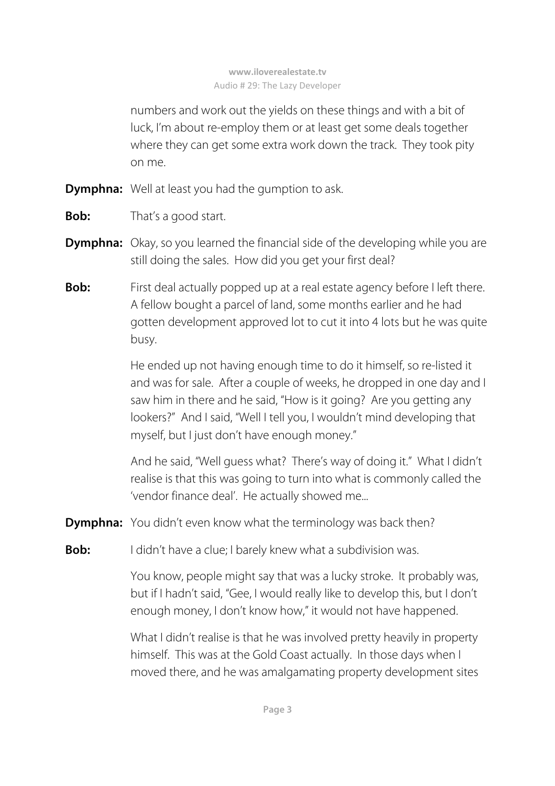numbers and work out the yields on these things and with a bit of luck, I'm about re-employ them or at least get some deals together where they can get some extra work down the track. They took pity on me.

- **Dymphna:** Well at least you had the gumption to ask.
- **Bob:** That's a good start.
- **Dymphna:** Okay, so you learned the financial side of the developing while you are still doing the sales. How did you get your first deal?
- **Bob:** First deal actually popped up at a real estate agency before I left there. A fellow bought a parcel of land, some months earlier and he had gotten development approved lot to cut it into 4 lots but he was quite busy.

 He ended up not having enough time to do it himself, so re-listed it and was for sale. After a couple of weeks, he dropped in one day and I saw him in there and he said, "How is it going? Are you getting any lookers?" And I said, "Well I tell you, I wouldn't mind developing that myself, but I just don't have enough money."

 And he said, "Well guess what? There's way of doing it." What I didn't realise is that this was going to turn into what is commonly called the 'vendor finance deal'. He actually showed me...

**Dymphna:** You didn't even know what the terminology was back then?

**Bob:** I didn't have a clue; I barely knew what a subdivision was.

 You know, people might say that was a lucky stroke. It probably was, but if I hadn't said, "Gee, I would really like to develop this, but I don't enough money, I don't know how," it would not have happened.

 What I didn't realise is that he was involved pretty heavily in property himself. This was at the Gold Coast actually. In those days when I moved there, and he was amalgamating property development sites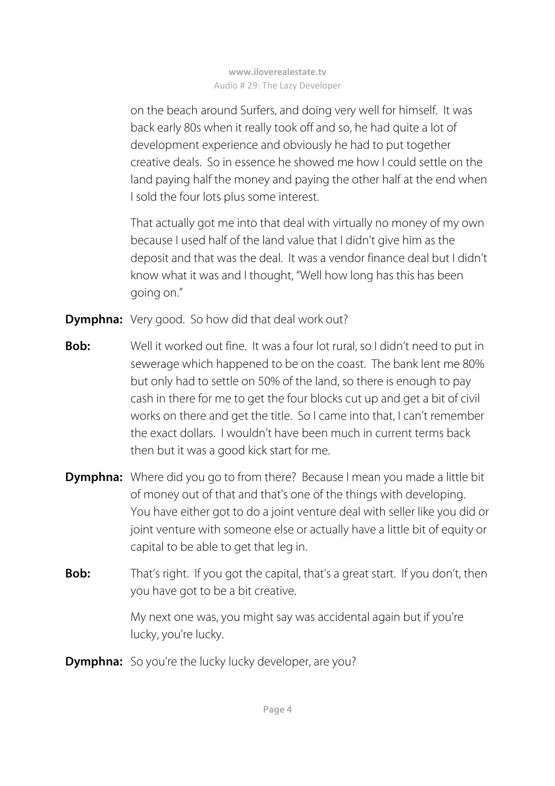on the beach around Surfers, and doing very well for himself. It was back early 80s when it really took off and so, he had quite a lot of development experience and obviously he had to put together creative deals. So in essence he showed me how I could settle on the land paying half the money and paying the other half at the end when I sold the four lots plus some interest.

 That actually got me into that deal with virtually no money of my own because I used half of the land value that I didn't give him as the deposit and that was the deal. It was a vendor finance deal but I didn't know what it was and I thought, "Well how long has this has been going on."

- **Dymphna:** Very good. So how did that deal work out?
- **Bob:** Well it worked out fine. It was a four lot rural, so I didn't need to put in sewerage which happened to be on the coast. The bank lent me 80% but only had to settle on 50% of the land, so there is enough to pay cash in there for me to get the four blocks cut up and get a bit of civil works on there and get the title. So I came into that, I can't remember the exact dollars. I wouldn't have been much in current terms back then but it was a good kick start for me.
- **Dymphna:** Where did you go to from there? Because I mean you made a little bit of money out of that and that's one of the things with developing. You have either got to do a joint venture deal with seller like you did or joint venture with someone else or actually have a little bit of equity or capital to be able to get that leg in.
- **Bob:** That's right. If you got the capital, that's a great start. If you don't, then you have got to be a bit creative.

My next one was, you might say was accidental again but if you're lucky, you're lucky.

**Dymphna:** So you're the lucky lucky developer, are you?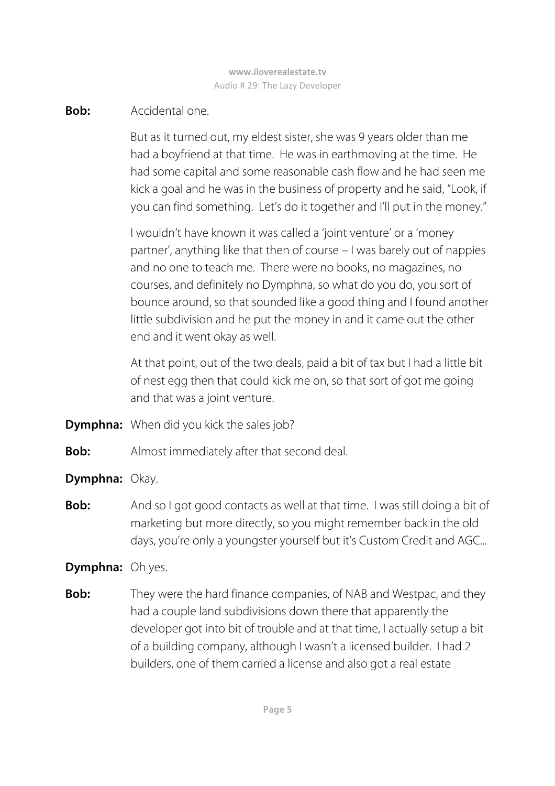### **Bob:** Accidental one.

 But as it turned out, my eldest sister, she was 9 years older than me had a boyfriend at that time. He was in earthmoving at the time. He had some capital and some reasonable cash flow and he had seen me kick a goal and he was in the business of property and he said, "Look, if you can find something. Let's do it together and I'll put in the money."

 I wouldn't have known it was called a 'joint venture' or a 'money partner', anything like that then of course – I was barely out of nappies and no one to teach me. There were no books, no magazines, no courses, and definitely no Dymphna, so what do you do, you sort of bounce around, so that sounded like a good thing and I found another little subdivision and he put the money in and it came out the other end and it went okay as well.

 At that point, out of the two deals, paid a bit of tax but I had a little bit of nest egg then that could kick me on, so that sort of got me going and that was a joint venture.

- **Dymphna:** When did you kick the sales job?
- **Bob:** Almost immediately after that second deal.
- **Dymphna:** Okay.
- **Bob:** And so I got good contacts as well at that time. I was still doing a bit of marketing but more directly, so you might remember back in the old days, you're only a youngster yourself but it's Custom Credit and AGC...

# **Dymphna:** Oh yes.

**Bob:** They were the hard finance companies, of NAB and Westpac, and they had a couple land subdivisions down there that apparently the developer got into bit of trouble and at that time, I actually setup a bit of a building company, although I wasn't a licensed builder. I had 2 builders, one of them carried a license and also got a real estate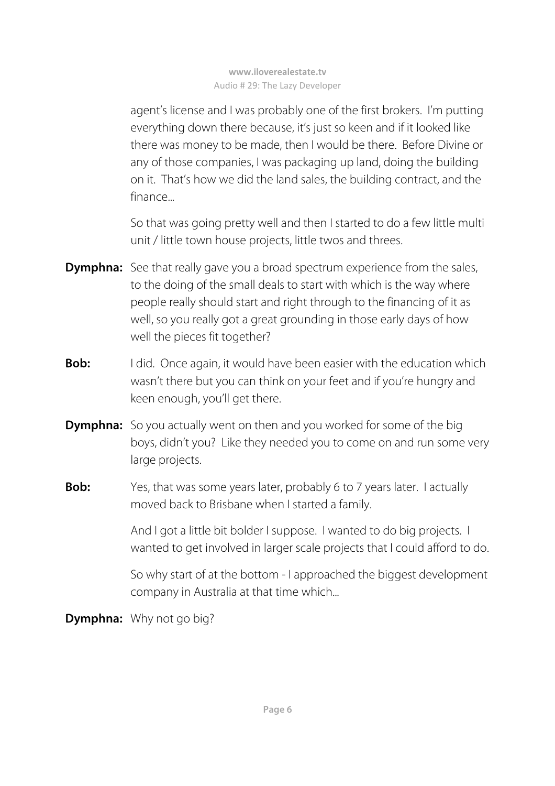agent's license and I was probably one of the first brokers. I'm putting everything down there because, it's just so keen and if it looked like there was money to be made, then I would be there. Before Divine or any of those companies, I was packaging up land, doing the building on it. That's how we did the land sales, the building contract, and the finance...

 So that was going pretty well and then I started to do a few little multi unit / little town house projects, little twos and threes.

- **Dymphna:** See that really gave you a broad spectrum experience from the sales, to the doing of the small deals to start with which is the way where people really should start and right through to the financing of it as well, so you really got a great grounding in those early days of how well the pieces fit together?
- **Bob:** I did. Once again, it would have been easier with the education which wasn't there but you can think on your feet and if you're hungry and keen enough, you'll get there.
- **Dymphna:** So you actually went on then and you worked for some of the big boys, didn't you? Like they needed you to come on and run some very large projects.
- **Bob:** Yes, that was some years later, probably 6 to 7 years later. I actually moved back to Brisbane when I started a family.

 And I got a little bit bolder I suppose. I wanted to do big projects. I wanted to get involved in larger scale projects that I could afford to do.

 So why start of at the bottom - I approached the biggest development company in Australia at that time which...

**Dymphna:** Why not go big?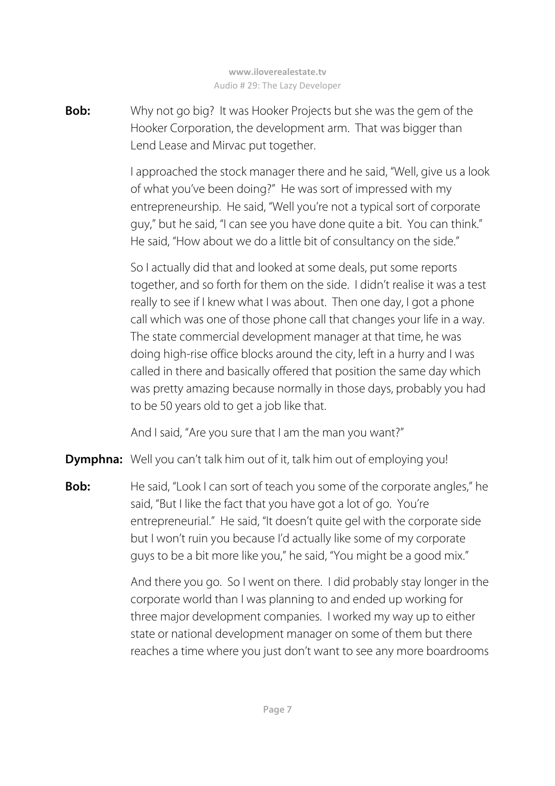**Bob:** Why not go big? It was Hooker Projects but she was the gem of the Hooker Corporation, the development arm. That was bigger than Lend Lease and Mirvac put together.

> I approached the stock manager there and he said, "Well, give us a look of what you've been doing?" He was sort of impressed with my entrepreneurship. He said, "Well you're not a typical sort of corporate guy," but he said, "I can see you have done quite a bit. You can think." He said, "How about we do a little bit of consultancy on the side."

> So I actually did that and looked at some deals, put some reports together, and so forth for them on the side. I didn't realise it was a test really to see if I knew what I was about. Then one day, I got a phone call which was one of those phone call that changes your life in a way. The state commercial development manager at that time, he was doing high-rise office blocks around the city, left in a hurry and I was called in there and basically offered that position the same day which was pretty amazing because normally in those days, probably you had to be 50 years old to get a job like that.

And I said, "Are you sure that I am the man you want?"

**Dymphna:** Well you can't talk him out of it, talk him out of employing you!

**Bob:** He said, "Look I can sort of teach you some of the corporate angles," he said, "But I like the fact that you have got a lot of go. You're entrepreneurial." He said, "It doesn't quite gel with the corporate side but I won't ruin you because I'd actually like some of my corporate guys to be a bit more like you," he said, "You might be a good mix."

> And there you go. So I went on there. I did probably stay longer in the corporate world than I was planning to and ended up working for three major development companies. I worked my way up to either state or national development manager on some of them but there reaches a time where you just don't want to see any more boardrooms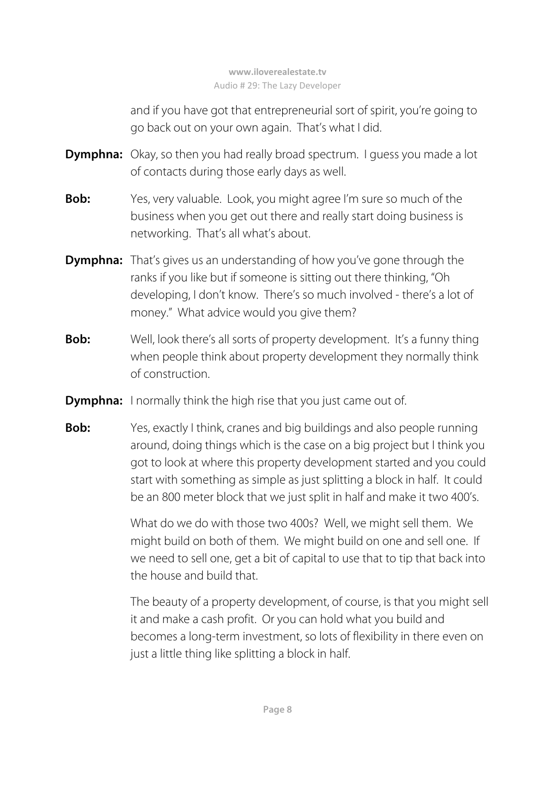and if you have got that entrepreneurial sort of spirit, you're going to go back out on your own again. That's what I did.

- **Dymphna:** Okay, so then you had really broad spectrum. I quess you made a lot of contacts during those early days as well.
- **Bob:** Yes, very valuable. Look, you might agree I'm sure so much of the business when you get out there and really start doing business is networking. That's all what's about.
- **Dymphna:** That's gives us an understanding of how you've gone through the ranks if you like but if someone is sitting out there thinking, "Oh developing, I don't know. There's so much involved - there's a lot of money." What advice would you give them?
- **Bob:** Well, look there's all sorts of property development. It's a funny thing when people think about property development they normally think of construction.
- **Dymphna:** I normally think the high rise that you just came out of.
- **Bob:** Yes, exactly I think, cranes and big buildings and also people running around, doing things which is the case on a big project but I think you got to look at where this property development started and you could start with something as simple as just splitting a block in half. It could be an 800 meter block that we just split in half and make it two 400's.

 What do we do with those two 400s? Well, we might sell them. We might build on both of them. We might build on one and sell one. If we need to sell one, get a bit of capital to use that to tip that back into the house and build that.

 The beauty of a property development, of course, is that you might sell it and make a cash profit. Or you can hold what you build and becomes a long-term investment, so lots of flexibility in there even on just a little thing like splitting a block in half.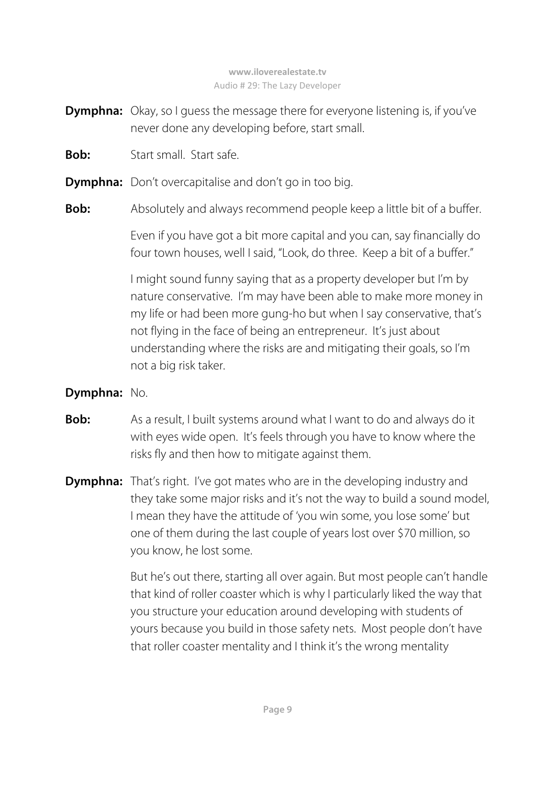- **Dymphna:** Okay, so I guess the message there for everyone listening is, if you've never done any developing before, start small.
- **Bob:** Start small. Start safe.
- **Dymphna:** Don't overcapitalise and don't go in too big.
- **Bob:** Absolutely and always recommend people keep a little bit of a buffer.

 Even if you have got a bit more capital and you can, say financially do four town houses, well I said, "Look, do three. Keep a bit of a buffer."

 I might sound funny saying that as a property developer but I'm by nature conservative. I'm may have been able to make more money in my life or had been more gung-ho but when I say conservative, that's not flying in the face of being an entrepreneur. It's just about understanding where the risks are and mitigating their goals, so I'm not a big risk taker.

### **Dymphna:** No.

- **Bob:** As a result, I built systems around what I want to do and always do it with eyes wide open. It's feels through you have to know where the risks fly and then how to mitigate against them.
- **Dymphna:** That's right. I've got mates who are in the developing industry and they take some major risks and it's not the way to build a sound model, I mean they have the attitude of 'you win some, you lose some' but one of them during the last couple of years lost over \$70 million, so you know, he lost some.

 But he's out there, starting all over again. But most people can't handle that kind of roller coaster which is why I particularly liked the way that you structure your education around developing with students of yours because you build in those safety nets. Most people don't have that roller coaster mentality and I think it's the wrong mentality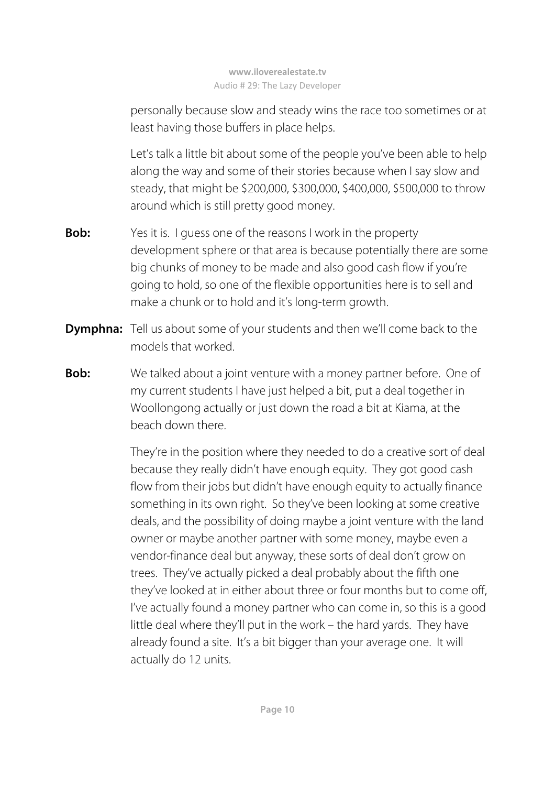personally because slow and steady wins the race too sometimes or at least having those buffers in place helps.

 Let's talk a little bit about some of the people you've been able to help along the way and some of their stories because when I say slow and steady, that might be \$200,000, \$300,000, \$400,000, \$500,000 to throw around which is still pretty good money.

- **Bob:** Yes it is. I guess one of the reasons I work in the property development sphere or that area is because potentially there are some big chunks of money to be made and also good cash flow if you're going to hold, so one of the flexible opportunities here is to sell and make a chunk or to hold and it's long-term growth.
- **Dymphna:** Tell us about some of your students and then we'll come back to the models that worked.
- **Bob:** We talked about a joint venture with a money partner before. One of my current students I have just helped a bit, put a deal together in Woollongong actually or just down the road a bit at Kiama, at the beach down there

They're in the position where they needed to do a creative sort of deal because they really didn't have enough equity. They got good cash flow from their jobs but didn't have enough equity to actually finance something in its own right. So they've been looking at some creative deals, and the possibility of doing maybe a joint venture with the land owner or maybe another partner with some money, maybe even a vendor-finance deal but anyway, these sorts of deal don't grow on trees. They've actually picked a deal probably about the fifth one they've looked at in either about three or four months but to come off, I've actually found a money partner who can come in, so this is a good little deal where they'll put in the work – the hard yards. They have already found a site. It's a bit bigger than your average one. It will actually do 12 units.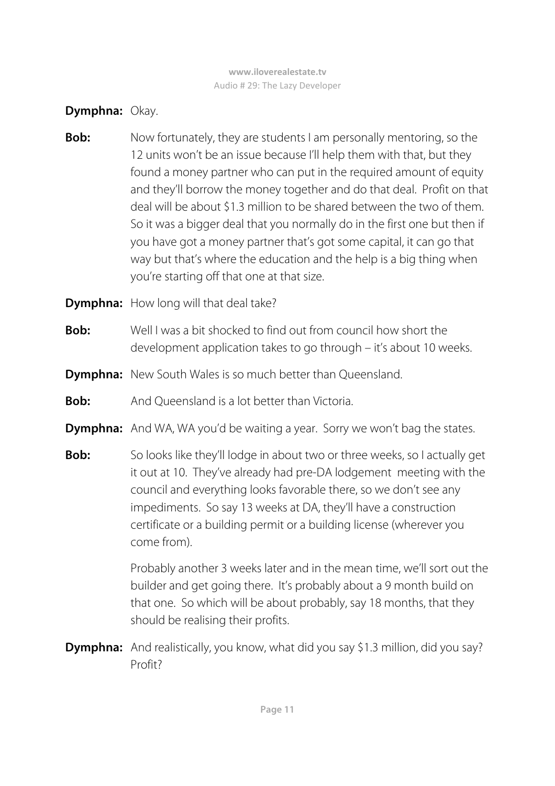**Dymphna:** Okay.

- **Bob:** Now fortunately, they are students I am personally mentoring, so the 12 units won't be an issue because I'll help them with that, but they found a money partner who can put in the required amount of equity and they'll borrow the money together and do that deal. Profit on that deal will be about \$1.3 million to be shared between the two of them. So it was a bigger deal that you normally do in the first one but then if you have got a money partner that's got some capital, it can go that way but that's where the education and the help is a big thing when you're starting off that one at that size.
- **Dymphna:** How long will that deal take?
- **Bob:** Well I was a bit shocked to find out from council how short the development application takes to go through – it's about 10 weeks.
- **Dymphna:** New South Wales is so much better than Queensland.
- **Bob:** And Queensland is a lot better than Victoria.
- **Dymphna:** And WA, WA you'd be waiting a year. Sorry we won't bag the states.
- **Bob:** So looks like they'll lodge in about two or three weeks, so I actually get it out at 10. They've already had pre-DA lodgement meeting with the council and everything looks favorable there, so we don't see any impediments. So say 13 weeks at DA, they'll have a construction certificate or a building permit or a building license (wherever you come from).

 Probably another 3 weeks later and in the mean time, we'll sort out the builder and get going there. It's probably about a 9 month build on that one. So which will be about probably, say 18 months, that they should be realising their profits.

**Dymphna:** And realistically, you know, what did you say \$1.3 million, did you say? Profit?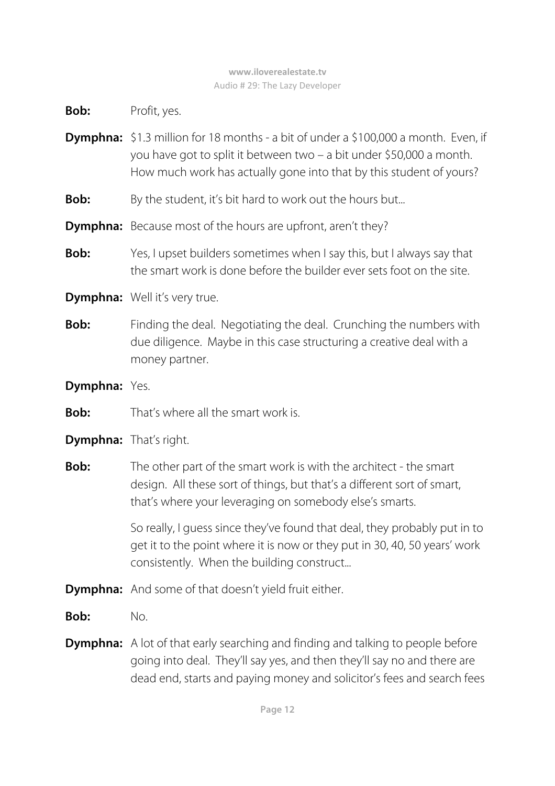**Bob:** Profit, yes.

- **Dymphna:** \$1.3 million for 18 months a bit of under a \$100,000 a month. Even, if you have got to split it between two – a bit under \$50,000 a month. How much work has actually gone into that by this student of yours?
- **Bob:** By the student, it's bit hard to work out the hours but...
- **Dymphna:** Because most of the hours are upfront, aren't they?
- **Bob:** Yes, I upset builders sometimes when I say this, but I always say that the smart work is done before the builder ever sets foot on the site.
- **Dymphna:** Well it's very true.
- **Bob:** Finding the deal. Negotiating the deal. Crunching the numbers with due diligence. Maybe in this case structuring a creative deal with a money partner.

## **Dymphna:** Yes.

**Bob:** That's where all the smart work is.

# **Dymphna:** That's right.

**Bob:** The other part of the smart work is with the architect - the smart design. All these sort of things, but that's a different sort of smart, that's where your leveraging on somebody else's smarts.

> So really, I guess since they've found that deal, they probably put in to get it to the point where it is now or they put in 30, 40, 50 years' work consistently. When the building construct...

- **Dymphna:** And some of that doesn't yield fruit either.
- **Bob:** No.
- **Dymphna:** A lot of that early searching and finding and talking to people before going into deal. They'll say yes, and then they'll say no and there are dead end, starts and paying money and solicitor's fees and search fees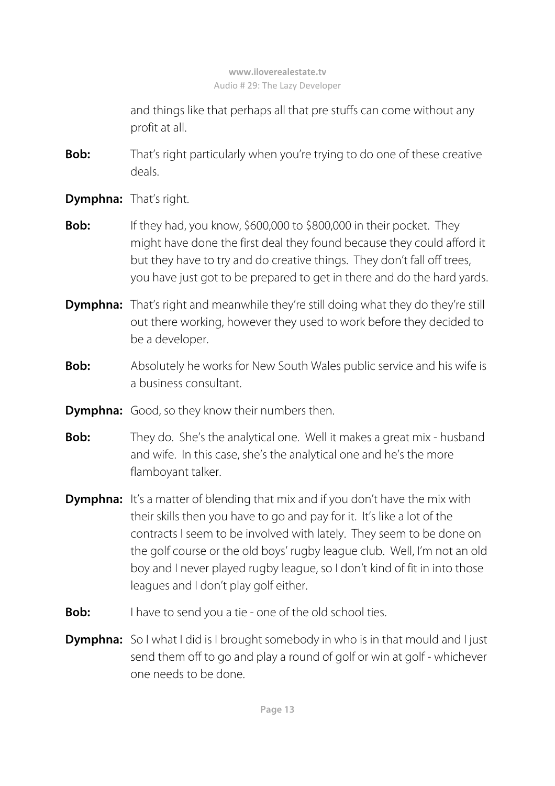and things like that perhaps all that pre stuffs can come without any profit at all.

- **Bob:** That's right particularly when you're trying to do one of these creative deals.
- **Dymphna:** That's right.
- **Bob:** If they had, you know, \$600,000 to \$800,000 in their pocket. They might have done the first deal they found because they could afford it but they have to try and do creative things. They don't fall off trees, you have just got to be prepared to get in there and do the hard yards.
- **Dymphna:** That's right and meanwhile they're still doing what they do they're still out there working, however they used to work before they decided to be a developer.
- **Bob:** Absolutely he works for New South Wales public service and his wife is a business consultant.
- **Dymphna:** Good, so they know their numbers then.
- **Bob:** They do. She's the analytical one. Well it makes a great mix husband and wife. In this case, she's the analytical one and he's the more flamboyant talker.
- **Dymphna:** It's a matter of blending that mix and if you don't have the mix with their skills then you have to go and pay for it. It's like a lot of the contracts I seem to be involved with lately. They seem to be done on the golf course or the old boys' rugby league club. Well, I'm not an old boy and I never played rugby league, so I don't kind of fit in into those leagues and I don't play golf either.
- **Bob:** I have to send you a tie one of the old school ties.
- **Dymphna:** So I what I did is I brought somebody in who is in that mould and I just send them off to go and play a round of golf or win at golf - whichever one needs to be done.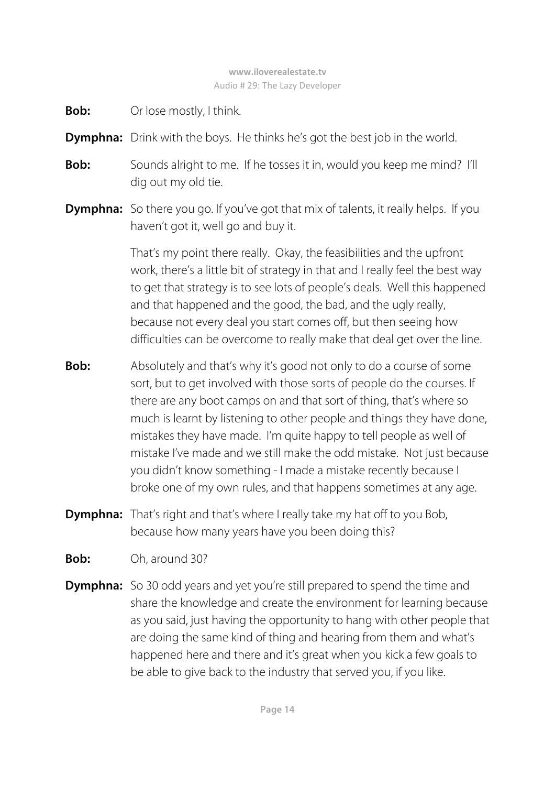- **Bob:** Or lose mostly, I think.
- **Dymphna:** Drink with the boys. He thinks he's got the best job in the world.
- **Bob:** Sounds alright to me. If he tosses it in, would you keep me mind? I'll dig out my old tie.
- **Dymphna:** So there you go. If you've got that mix of talents, it really helps. If you haven't got it, well go and buy it.

That's my point there really. Okay, the feasibilities and the upfront work, there's a little bit of strategy in that and I really feel the best way to get that strategy is to see lots of people's deals. Well this happened and that happened and the good, the bad, and the ugly really, because not every deal you start comes off, but then seeing how difficulties can be overcome to really make that deal get over the line.

- **Bob:** Absolutely and that's why it's good not only to do a course of some sort, but to get involved with those sorts of people do the courses. If there are any boot camps on and that sort of thing, that's where so much is learnt by listening to other people and things they have done, mistakes they have made. I'm quite happy to tell people as well of mistake I've made and we still make the odd mistake. Not just because you didn't know something - I made a mistake recently because I broke one of my own rules, and that happens sometimes at any age.
- **Dymphna:** That's right and that's where I really take my hat off to you Bob, because how many years have you been doing this?
- **Bob:** Oh, around 30?
- **Dymphna:** So 30 odd years and yet you're still prepared to spend the time and share the knowledge and create the environment for learning because as you said, just having the opportunity to hang with other people that are doing the same kind of thing and hearing from them and what's happened here and there and it's great when you kick a few goals to be able to give back to the industry that served you, if you like.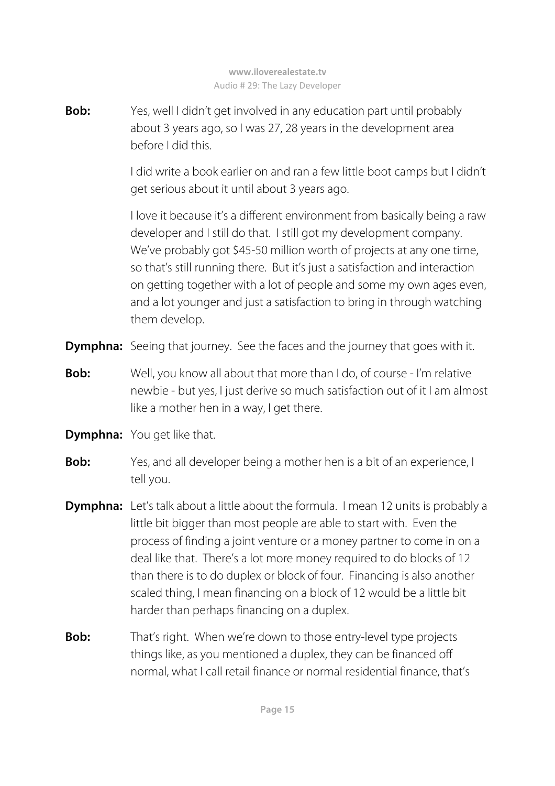**Bob:** Yes, well I didn't get involved in any education part until probably about 3 years ago, so I was 27, 28 years in the development area before I did this.

> I did write a book earlier on and ran a few little boot camps but I didn't get serious about it until about 3 years ago.

> I love it because it's a different environment from basically being a raw developer and I still do that. I still got my development company. We've probably got \$45-50 million worth of projects at any one time, so that's still running there. But it's just a satisfaction and interaction on getting together with a lot of people and some my own ages even, and a lot younger and just a satisfaction to bring in through watching them develop.

- **Dymphna:** Seeing that journey. See the faces and the journey that goes with it.
- **Bob:** Well, you know all about that more than I do, of course I'm relative newbie - but yes, I just derive so much satisfaction out of it I am almost like a mother hen in a way, I get there.
- **Dymphna:** You get like that.
- **Bob:** Yes, and all developer being a mother hen is a bit of an experience, I tell you.
- **Dymphna:** Let's talk about a little about the formula. I mean 12 units is probably a little bit bigger than most people are able to start with. Even the process of finding a joint venture or a money partner to come in on a deal like that. There's a lot more money required to do blocks of 12 than there is to do duplex or block of four. Financing is also another scaled thing, I mean financing on a block of 12 would be a little bit harder than perhaps financing on a duplex.
- **Bob:** That's right. When we're down to those entry-level type projects things like, as you mentioned a duplex, they can be financed off normal, what I call retail finance or normal residential finance, that's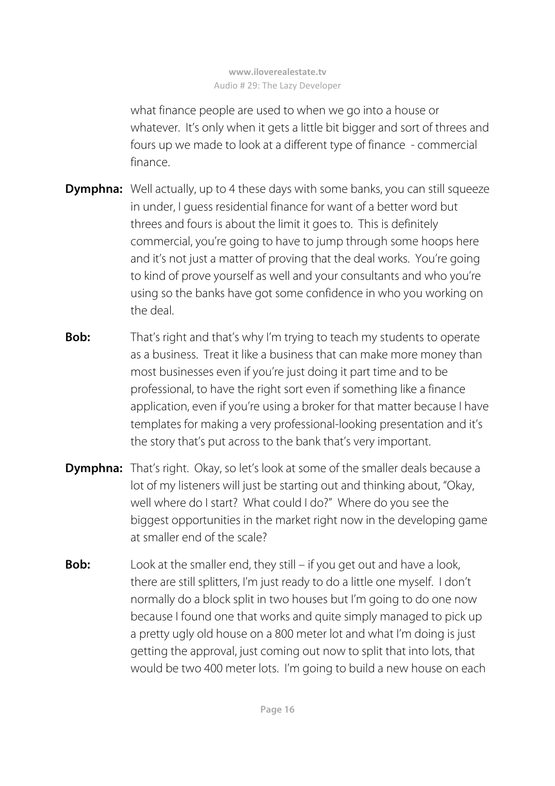what finance people are used to when we go into a house or whatever. It's only when it gets a little bit bigger and sort of threes and fours up we made to look at a different type of finance - commercial finance.

- **Dymphna:** Well actually, up to 4 these days with some banks, you can still squeeze in under, I guess residential finance for want of a better word but threes and fours is about the limit it goes to. This is definitely commercial, you're going to have to jump through some hoops here and it's not just a matter of proving that the deal works. You're going to kind of prove yourself as well and your consultants and who you're using so the banks have got some confidence in who you working on the deal.
- **Bob:** That's right and that's why I'm trying to teach my students to operate as a business. Treat it like a business that can make more money than most businesses even if you're just doing it part time and to be professional, to have the right sort even if something like a finance application, even if you're using a broker for that matter because I have templates for making a very professional-looking presentation and it's the story that's put across to the bank that's very important.
- **Dymphna:** That's right. Okay, so let's look at some of the smaller deals because a lot of my listeners will just be starting out and thinking about, "Okay, well where do I start? What could I do?" Where do you see the biggest opportunities in the market right now in the developing game at smaller end of the scale?
- **Bob:** Look at the smaller end, they still if you get out and have a look, there are still splitters, I'm just ready to do a little one myself. I don't normally do a block split in two houses but I'm going to do one now because I found one that works and quite simply managed to pick up a pretty ugly old house on a 800 meter lot and what I'm doing is just getting the approval, just coming out now to split that into lots, that would be two 400 meter lots. I'm going to build a new house on each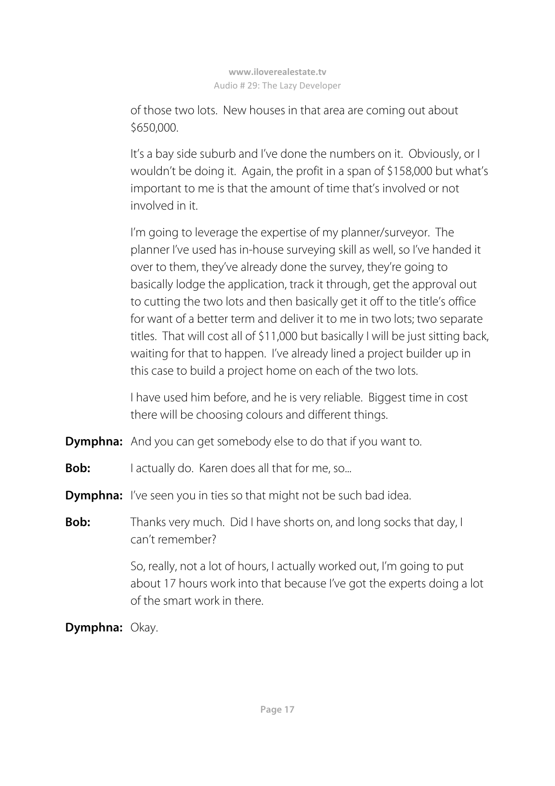of those two lots. New houses in that area are coming out about \$650,000.

 It's a bay side suburb and I've done the numbers on it. Obviously, or I wouldn't be doing it. Again, the profit in a span of \$158,000 but what's important to me is that the amount of time that's involved or not involved in it.

 I'm going to leverage the expertise of my planner/surveyor. The planner I've used has in-house surveying skill as well, so I've handed it over to them, they've already done the survey, they're going to basically lodge the application, track it through, get the approval out to cutting the two lots and then basically get it off to the title's office for want of a better term and deliver it to me in two lots; two separate titles. That will cost all of \$11,000 but basically I will be just sitting back, waiting for that to happen. I've already lined a project builder up in this case to build a project home on each of the two lots.

 I have used him before, and he is very reliable. Biggest time in cost there will be choosing colours and different things.

**Dymphna:** And you can get somebody else to do that if you want to.

- **Bob:** I actually do. Karen does all that for me, so...
- **Dymphna:** I've seen you in ties so that might not be such bad idea.
- **Bob:** Thanks very much. Did I have shorts on, and long socks that day, I can't remember?

 So, really, not a lot of hours, I actually worked out, I'm going to put about 17 hours work into that because I've got the experts doing a lot of the smart work in there.

**Dymphna:** Okay.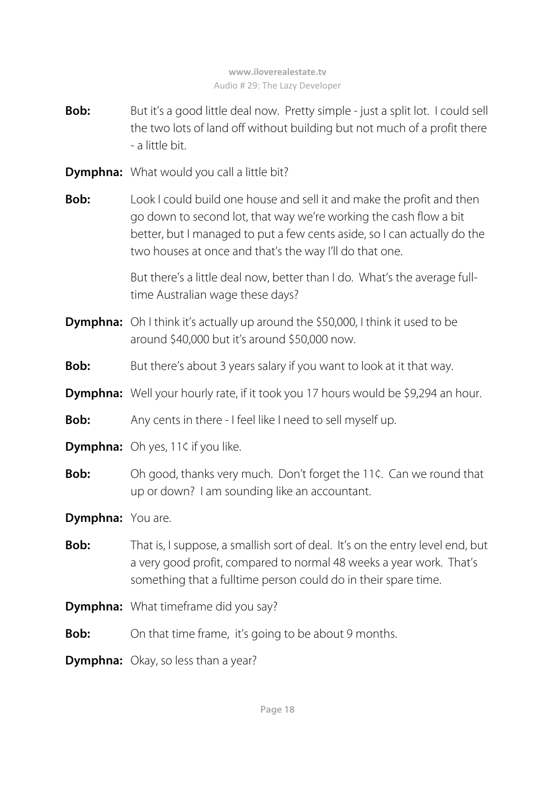- **Bob:** But it's a good little deal now. Pretty simple just a split lot. I could sell the two lots of land off without building but not much of a profit there - a little bit.
- **Dymphna:** What would you call a little bit?
- **Bob:** Look I could build one house and sell it and make the profit and then go down to second lot, that way we're working the cash flow a bit better, but I managed to put a few cents aside, so I can actually do the two houses at once and that's the way I'll do that one.

 But there's a little deal now, better than I do. What's the average fulltime Australian wage these days?

- **Dymphna:** Oh I think it's actually up around the \$50,000, I think it used to be around \$40,000 but it's around \$50,000 now.
- **Bob:** But there's about 3 years salary if you want to look at it that way.
- **Dymphna:** Well your hourly rate, if it took you 17 hours would be \$9,294 an hour.
- **Bob:** Any cents in there I feel like I need to sell myself up.
- **Dymphna:** Oh yes, 11¢ if you like.
- **Bob:** Oh good, thanks very much. Don't forget the 11¢. Can we round that up or down? I am sounding like an accountant.

**Dymphna:** You are.

- **Bob:** That is, I suppose, a smallish sort of deal. It's on the entry level end, but a very good profit, compared to normal 48 weeks a year work. That's something that a fulltime person could do in their spare time.
- **Dymphna:** What timeframe did you say?
- **Bob:** On that time frame, it's going to be about 9 months.
- **Dymphna:** Okay, so less than a year?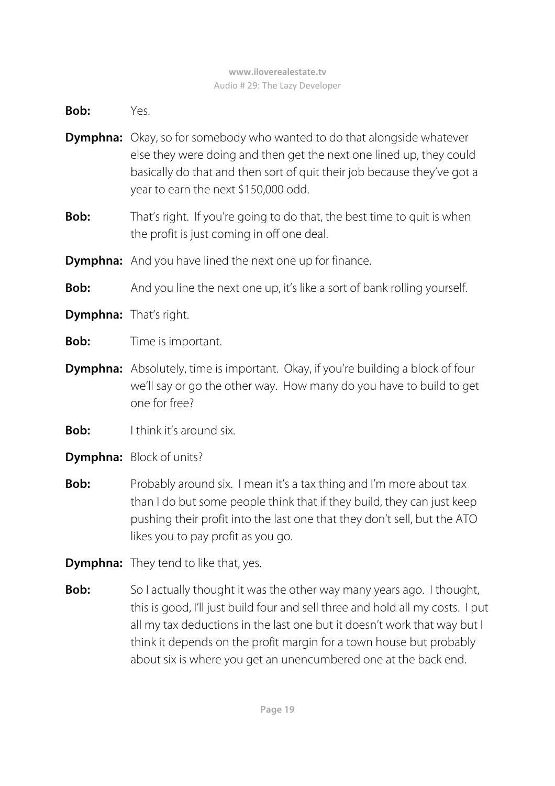**Bob:** Yes.

- **Dymphna:** Okay, so for somebody who wanted to do that alongside whatever else they were doing and then get the next one lined up, they could basically do that and then sort of quit their job because they've got a year to earn the next \$150,000 odd.
- **Bob:** That's right. If you're going to do that, the best time to quit is when the profit is just coming in off one deal.
- **Dymphna:** And you have lined the next one up for finance.
- **Bob:** And you line the next one up, it's like a sort of bank rolling yourself.
- **Dymphna:** That's right.
- **Bob:** Time is important.
- **Dymphna:** Absolutely, time is important. Okay, if you're building a block of four we'll say or go the other way. How many do you have to build to get one for free?
- **Bob:** I think it's around six.
- **Dymphna:** Block of units?
- **Bob:** Probably around six. I mean it's a tax thing and I'm more about tax than I do but some people think that if they build, they can just keep pushing their profit into the last one that they don't sell, but the ATO likes you to pay profit as you go.
- **Dymphna:** They tend to like that, yes.
- **Bob:** So I actually thought it was the other way many years ago. I thought, this is good, I'll just build four and sell three and hold all my costs. I put all my tax deductions in the last one but it doesn't work that way but I think it depends on the profit margin for a town house but probably about six is where you get an unencumbered one at the back end.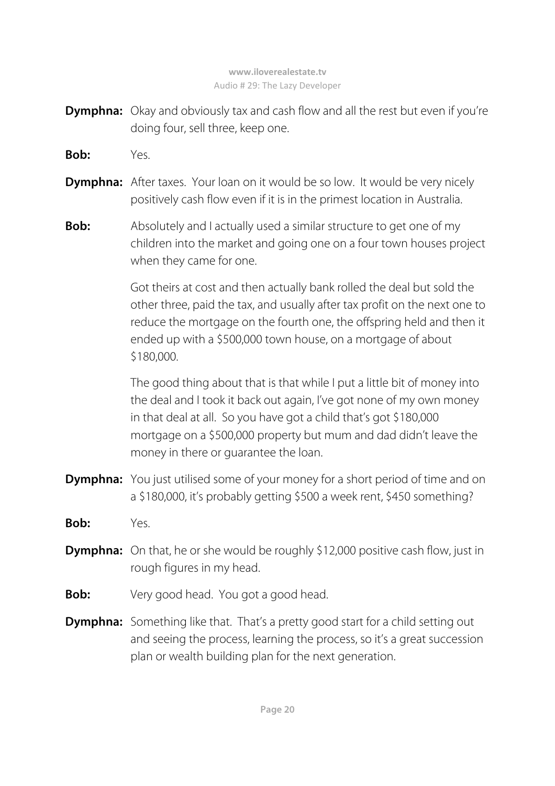- **Dymphna:** Okay and obviously tax and cash flow and all the rest but even if you're doing four, sell three, keep one.
- **Bob:** Yes.
- **Dymphna:** After taxes. Your loan on it would be so low. It would be very nicely positively cash flow even if it is in the primest location in Australia.
- **Bob:** Absolutely and I actually used a similar structure to get one of my children into the market and going one on a four town houses project when they came for one.

 Got theirs at cost and then actually bank rolled the deal but sold the other three, paid the tax, and usually after tax profit on the next one to reduce the mortgage on the fourth one, the offspring held and then it ended up with a \$500,000 town house, on a mortgage of about \$180,000.

 The good thing about that is that while I put a little bit of money into the deal and I took it back out again, I've got none of my own money in that deal at all. So you have got a child that's got \$180,000 mortgage on a \$500,000 property but mum and dad didn't leave the money in there or guarantee the loan.

- **Dymphna:** You just utilised some of your money for a short period of time and on a \$180,000, it's probably getting \$500 a week rent, \$450 something?
- **Bob:** Yes.
- **Dymphna:** On that, he or she would be roughly \$12,000 positive cash flow, just in rough figures in my head.
- **Bob:** Very good head. You got a good head.
- **Dymphna:** Something like that. That's a pretty good start for a child setting out and seeing the process, learning the process, so it's a great succession plan or wealth building plan for the next generation.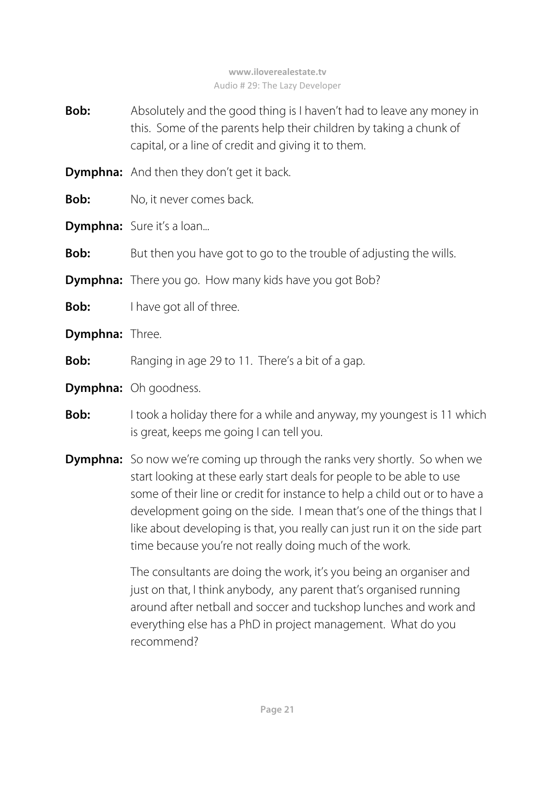- **Bob:** Absolutely and the good thing is I haven't had to leave any money in this. Some of the parents help their children by taking a chunk of capital, or a line of credit and giving it to them.
- **Dymphna:** And then they don't get it back.
- **Bob:** No, it never comes back.
- **Dymphna:** Sure it's a loan...

**Bob:** But then you have got to go to the trouble of adjusting the wills.

- **Dymphna:** There you go. How many kids have you got Bob?
- **Bob:** I have got all of three.
- **Dymphna:** Three.
- **Bob:** Ranging in age 29 to 11. There's a bit of a gap.
- **Dymphna:** Oh goodness.
- **Bob:** I took a holiday there for a while and anyway, my youngest is 11 which is great, keeps me going I can tell you.
- **Dymphna:** So now we're coming up through the ranks very shortly. So when we start looking at these early start deals for people to be able to use some of their line or credit for instance to help a child out or to have a development going on the side. I mean that's one of the things that I like about developing is that, you really can just run it on the side part time because you're not really doing much of the work.

The consultants are doing the work, it's you being an organiser and just on that, I think anybody, any parent that's organised running around after netball and soccer and tuckshop lunches and work and everything else has a PhD in project management. What do you recommend?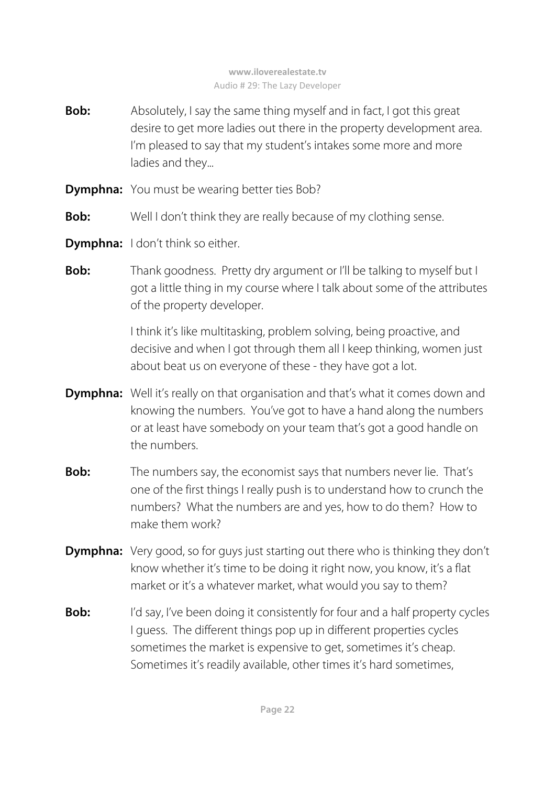- **Bob:** Absolutely, I say the same thing myself and in fact, I got this great desire to get more ladies out there in the property development area. I'm pleased to say that my student's intakes some more and more ladies and they...
- **Dymphna:** You must be wearing better ties Bob?
- **Bob:** Well I don't think they are really because of my clothing sense.
- **Dymphna:** I don't think so either.
- **Bob:** Thank goodness. Pretty dry argument or I'll be talking to myself but I got a little thing in my course where I talk about some of the attributes of the property developer.

 I think it's like multitasking, problem solving, being proactive, and decisive and when I got through them all I keep thinking, women just about beat us on everyone of these - they have got a lot.

- **Dymphna:** Well it's really on that organisation and that's what it comes down and knowing the numbers. You've got to have a hand along the numbers or at least have somebody on your team that's got a good handle on the numbers.
- **Bob:** The numbers say, the economist says that numbers never lie. That's one of the first things I really push is to understand how to crunch the numbers? What the numbers are and yes, how to do them? How to make them work?
- **Dymphna:** Very good, so for guys just starting out there who is thinking they don't know whether it's time to be doing it right now, you know, it's a flat market or it's a whatever market, what would you say to them?
- **Bob:** I'd say, I've been doing it consistently for four and a half property cycles I guess. The different things pop up in different properties cycles sometimes the market is expensive to get, sometimes it's cheap. Sometimes it's readily available, other times it's hard sometimes,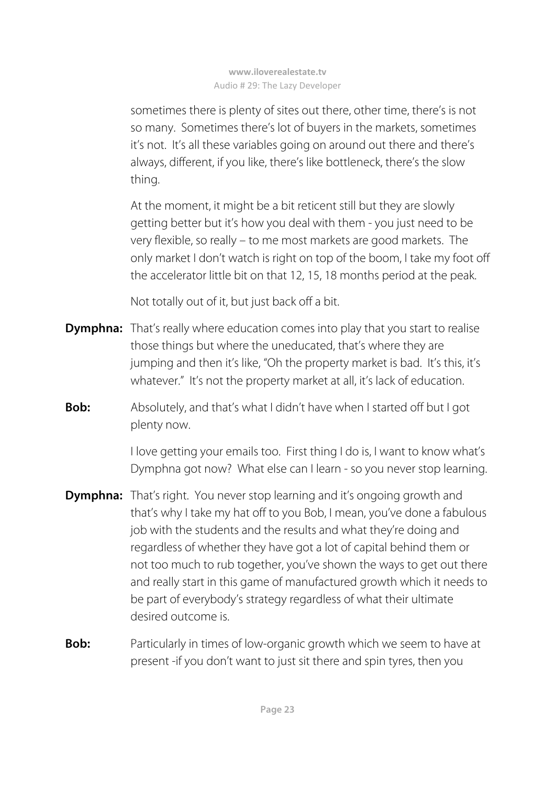sometimes there is plenty of sites out there, other time, there's is not so many. Sometimes there's lot of buyers in the markets, sometimes it's not. It's all these variables going on around out there and there's always, different, if you like, there's like bottleneck, there's the slow thing.

 At the moment, it might be a bit reticent still but they are slowly getting better but it's how you deal with them - you just need to be very flexible, so really – to me most markets are good markets. The only market I don't watch is right on top of the boom, I take my foot off the accelerator little bit on that 12, 15, 18 months period at the peak.

Not totally out of it, but just back off a bit.

- **Dymphna:** That's really where education comes into play that you start to realise those things but where the uneducated, that's where they are jumping and then it's like, "Oh the property market is bad. It's this, it's whatever." It's not the property market at all, it's lack of education.
- **Bob:** Absolutely, and that's what I didn't have when I started off but I got plenty now.

 I love getting your emails too. First thing I do is, I want to know what's Dymphna got now? What else can I learn - so you never stop learning.

- **Dymphna:** That's right. You never stop learning and it's ongoing growth and that's why I take my hat off to you Bob, I mean, you've done a fabulous job with the students and the results and what they're doing and regardless of whether they have got a lot of capital behind them or not too much to rub together, you've shown the ways to get out there and really start in this game of manufactured growth which it needs to be part of everybody's strategy regardless of what their ultimate desired outcome is.
- **Bob:** Particularly in times of low-organic growth which we seem to have at present -if you don't want to just sit there and spin tyres, then you